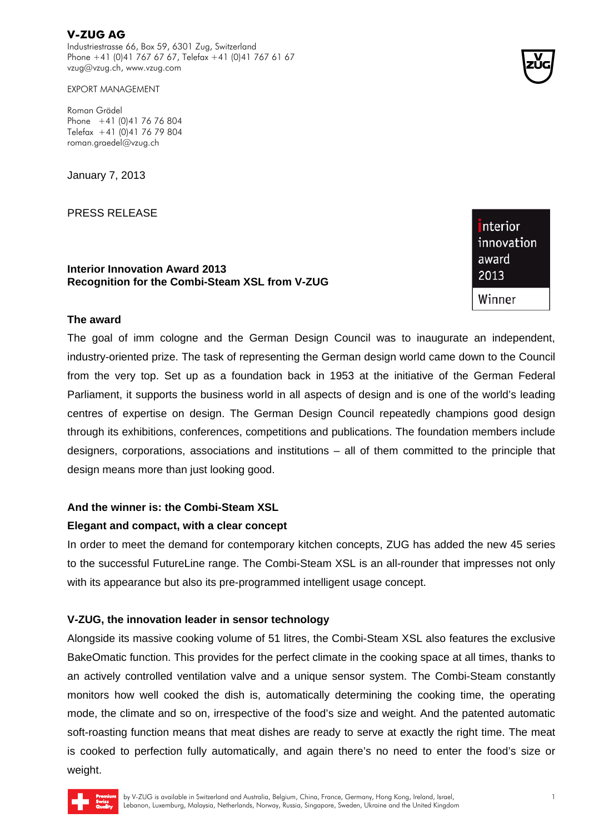**V-ZUG AG**  Industriestrasse 66, Box 59, 6301 Zug, Switzerland Phone +41 (0)41 767 67 67, Telefax +41 (0)41 767 61 67 vzug@vzug.ch, www.vzug.com

EXPORT MANAGEMENT

Roman Grädel Phone +41 (0)41 76 76 804 Telefax +41 (0)41 76 79 804 roman.graedel@vzug.ch

January 7, 2013

PRESS RELEASE

**Interior Innovation Award 2013 Recognition for the Combi-Steam XSL from V-ZUG** 

# nterior innovation award 2013 Winner

**2** 

### **The award**

The goal of imm cologne and the German Design Council was to inaugurate an independent, industry-oriented prize. The task of representing the German design world came down to the Council from the very top. Set up as a foundation back in 1953 at the initiative of the German Federal Parliament, it supports the business world in all aspects of design and is one of the world's leading centres of expertise on design. The German Design Council repeatedly champions good design through its exhibitions, conferences, competitions and publications. The foundation members include designers, corporations, associations and institutions – all of them committed to the principle that design means more than just looking good.

#### **And the winner is: the Combi-Steam XSL**

#### **Elegant and compact, with a clear concept**

In order to meet the demand for contemporary kitchen concepts, ZUG has added the new 45 series to the successful FutureLine range. The Combi-Steam XSL is an all-rounder that impresses not only with its appearance but also its pre-programmed intelligent usage concept.

## **V-ZUG, the innovation leader in sensor technology**

Alongside its massive cooking volume of 51 litres, the Combi-Steam XSL also features the exclusive BakeOmatic function. This provides for the perfect climate in the cooking space at all times, thanks to an actively controlled ventilation valve and a unique sensor system. The Combi-Steam constantly monitors how well cooked the dish is, automatically determining the cooking time, the operating mode, the climate and so on, irrespective of the food's size and weight. And the patented automatic soft-roasting function means that meat dishes are ready to serve at exactly the right time. The meat is cooked to perfection fully automatically, and again there's no need to enter the food's size or weight.